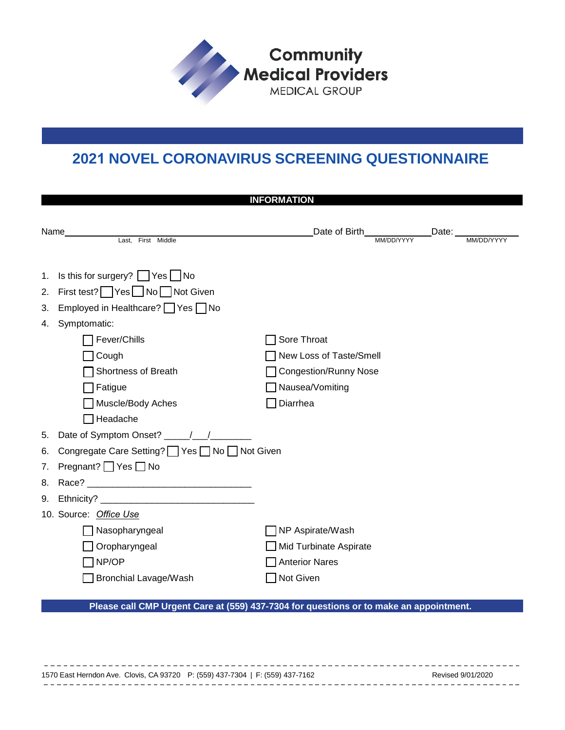

## **2021 NOVEL CORONAVIRUS SCREENING QUESTIONNAIRE**

**URGENT CARE**

| <b>INFORMATION</b> |                                                                                                          |                                                                                                       |  |  |  |  |  |
|--------------------|----------------------------------------------------------------------------------------------------------|-------------------------------------------------------------------------------------------------------|--|--|--|--|--|
|                    | Name_<br>Last, First Middle                                                                              |                                                                                                       |  |  |  |  |  |
|                    |                                                                                                          |                                                                                                       |  |  |  |  |  |
| 1.<br>2.           | Is this for surgery? $\Box$ Yes $\Box$ No<br>First test?   Yes   No   Not Given                          |                                                                                                       |  |  |  |  |  |
| 3.                 | Employed in Healthcare? TYes No                                                                          |                                                                                                       |  |  |  |  |  |
| 4.                 | Symptomatic:<br>Fever/Chills<br>Cough<br>Shortness of Breath<br>Fatigue<br>Muscle/Body Aches<br>Headache | Sore Throat<br>New Loss of Taste/Smell<br><b>Congestion/Runny Nose</b><br>Nausea/Vomiting<br>Diarrhea |  |  |  |  |  |
| 5.                 |                                                                                                          |                                                                                                       |  |  |  |  |  |
| 6.                 | Congregate Care Setting? Ves No Not Given                                                                |                                                                                                       |  |  |  |  |  |
| 7.                 | Pregnant? $\Box$ Yes $\Box$ No                                                                           |                                                                                                       |  |  |  |  |  |
| 8.                 |                                                                                                          |                                                                                                       |  |  |  |  |  |
| 9.                 |                                                                                                          |                                                                                                       |  |  |  |  |  |
|                    | 10. Source: Office Use                                                                                   |                                                                                                       |  |  |  |  |  |
|                    | Nasopharyngeal                                                                                           | NP Aspirate/Wash                                                                                      |  |  |  |  |  |
|                    | Oropharyngeal                                                                                            | Mid Turbinate Aspirate                                                                                |  |  |  |  |  |
|                    | NP/OP                                                                                                    | <b>Anterior Nares</b>                                                                                 |  |  |  |  |  |
|                    | <b>Bronchial Lavage/Wash</b>                                                                             | Not Given                                                                                             |  |  |  |  |  |
|                    |                                                                                                          |                                                                                                       |  |  |  |  |  |

### **Please call CMP Urgent Care at (559) 437-7304 for questions or to make an appointment.**

1570 East Herndon Ave. Clovis, CA 93720 P: (559) 437-7304 | F: (559) 437-7162 Revised 9/01/2020  $- - - - -$ --------------------------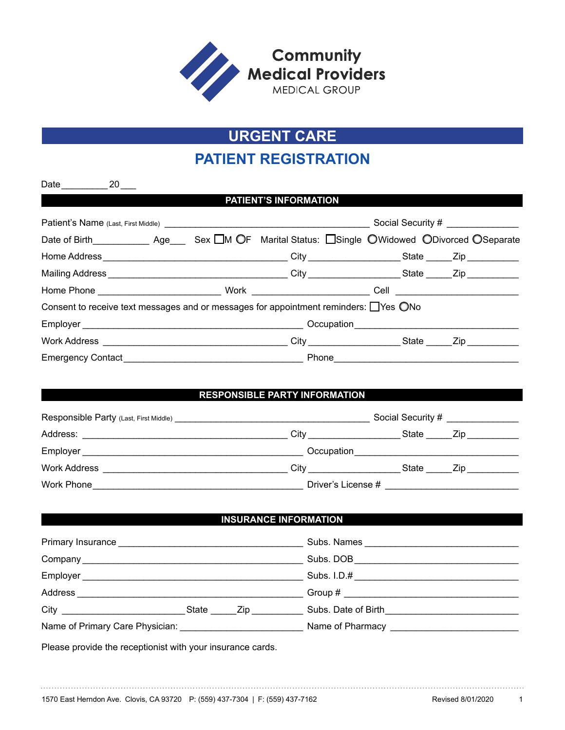

# **URGENT CARE**

### **PATIENT REGISTRATION**

|                                                                                      |  |  | <b>PATIENT'S INFORMATION</b> |                                   |  |  |  |
|--------------------------------------------------------------------------------------|--|--|------------------------------|-----------------------------------|--|--|--|
|                                                                                      |  |  |                              | Social Security # _______________ |  |  |  |
|                                                                                      |  |  |                              |                                   |  |  |  |
|                                                                                      |  |  |                              |                                   |  |  |  |
|                                                                                      |  |  |                              |                                   |  |  |  |
|                                                                                      |  |  |                              |                                   |  |  |  |
| Consent to receive text messages and or messages for appointment reminders: □Yes ○No |  |  |                              |                                   |  |  |  |
|                                                                                      |  |  |                              |                                   |  |  |  |
|                                                                                      |  |  |                              |                                   |  |  |  |
|                                                                                      |  |  |                              |                                   |  |  |  |
|                                                                                      |  |  |                              |                                   |  |  |  |

#### **RESPONSIBLE PARTY INFORMATION**

| <b>Responsible Party (Last, First Middle)</b>                                                                                     |                    | Social Security # | the control of the control of the                                                                              |
|-----------------------------------------------------------------------------------------------------------------------------------|--------------------|-------------------|----------------------------------------------------------------------------------------------------------------|
| Address:<br><u> 1989 - Johann Harry Harry Harry Harry Harry Harry Harry Harry Harry Harry Harry Harry Harry Harry Harry Harry</u> | City               | State             | Zip and the set of the set of the set of the set of the set of the set of the set of the set of the set of the |
| Employer                                                                                                                          | Occupation         |                   |                                                                                                                |
| Work Address                                                                                                                      | Citv               | State             | Zip.                                                                                                           |
| Work Phone                                                                                                                        | Driver's License # |                   |                                                                                                                |

#### **INSURANCE INFORMATION**

|                                                                 |       |      | Subs. DOB                                   |  |
|-----------------------------------------------------------------|-------|------|---------------------------------------------|--|
|                                                                 |       |      | Subs. I.D.# _______________________________ |  |
| Address                                                         |       |      |                                             |  |
| <b>City City City</b>                                           | State | Zip. | Subs. Date of Birth Subsets of Birth        |  |
| Name of Primary Care Physician: Name of Primary Care Physician: |       |      | Name of Pharmacy _____________              |  |

Please provide the receptionist with your insurance cards.

Date 20